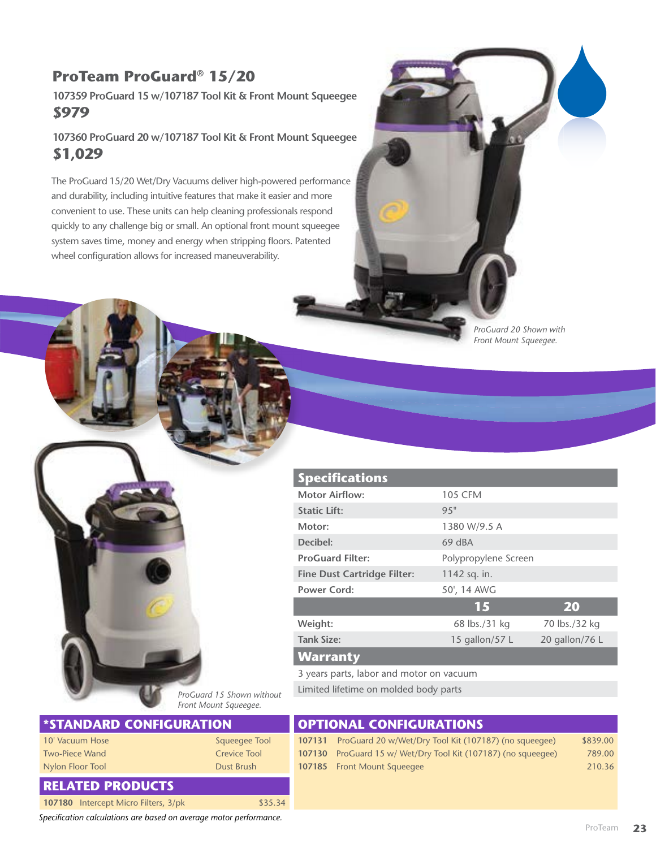## **ProTeam ProGuard® 15/20**

**107359 ProGuard 15 w/107187 Tool Kit & Front Mount Squeegee \$979**

**107360 ProGuard 20 w/107187 Tool Kit & Front Mount Squeegee \$1,029**

The ProGuard 15/20 Wet/Dry Vacuums deliver high-powered performance and durability, including intuitive features that make it easier and more convenient to use. These units can help cleaning professionals respond quickly to any challenge big or small. An optional front mount squeegee system saves time, money and energy when stripping floors. Patented wheel configuration allows for increased maneuverability.

> *ProGuard 20 Shown with Front Mount Squeegee.*

|               | <b>Specifications</b>                    |                      |                |  |
|---------------|------------------------------------------|----------------------|----------------|--|
|               | <b>Motor Airflow:</b>                    | <b>105 CFM</b>       |                |  |
|               | <b>Static Lift:</b>                      | 9.5"                 |                |  |
|               | Motor:                                   | 1380 W/9.5 A         |                |  |
|               | Decibel:                                 | 69 dBA               |                |  |
|               | <b>ProGuard Filter:</b>                  | Polypropylene Screen |                |  |
|               | <b>Fine Dust Cartridge Filter:</b>       | 1142 sq. in.         |                |  |
|               | <b>Power Cord:</b>                       | 50', 14 AWG          |                |  |
|               |                                          | 15                   | 20             |  |
|               | Weight:                                  | 68 lbs./31 kg        | 70 lbs./32 kg  |  |
|               | <b>Tank Size:</b>                        | 15 gallon/57 L       | 20 gallon/76 L |  |
|               | <b>Warranty</b>                          |                      |                |  |
|               | 3 years parts, labor and motor on vacuum |                      |                |  |
| $1.11 - 1.14$ | Limited lifetime on molded body parts    |                      |                |  |

*ProGuard 15 Shown without Front Mount Squeegee.*

| <b>STANDARD CONFIGURATION</b> |                     |  | <b>OPTIONAL CONFIGURATIONS</b>                                |          |  |  |
|-------------------------------|---------------------|--|---------------------------------------------------------------|----------|--|--|
| 10' Vacuum Hose               | Squeeqee Tool       |  | 107131 ProGuard 20 w/Wet/Dry Tool Kit (107187) (no squeeqee)  | \$839.00 |  |  |
| <b>Two-Piece Wand</b>         | <b>Crevice Tool</b> |  | 107130 ProGuard 15 w/ Wet/Dry Tool Kit (107187) (no squeeqee) | 789.00   |  |  |
| Nylon Floor Tool              | Dust Brush          |  | 107185 Front Mount Squeeqee                                   | 210.36   |  |  |
| <b>RELATED PRODUCTS</b>       |                     |  |                                                               |          |  |  |

*Specification calculations are based on average motor performance.*

**107180** Intercept Micro Filters, 3/pk \$35.34